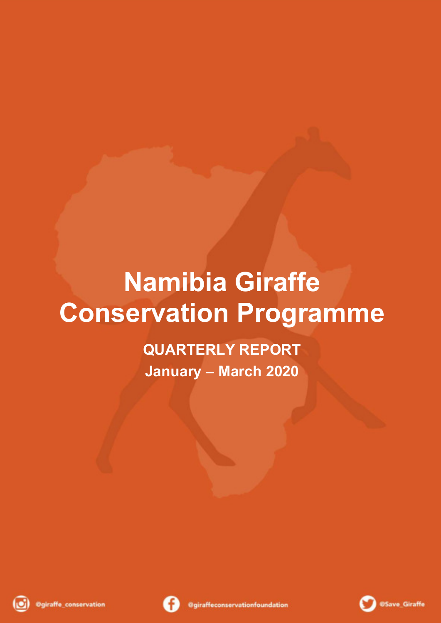# **Namibia Giraffe Conservation Programme**

**QUARTERLY REPORT January – March 2020**





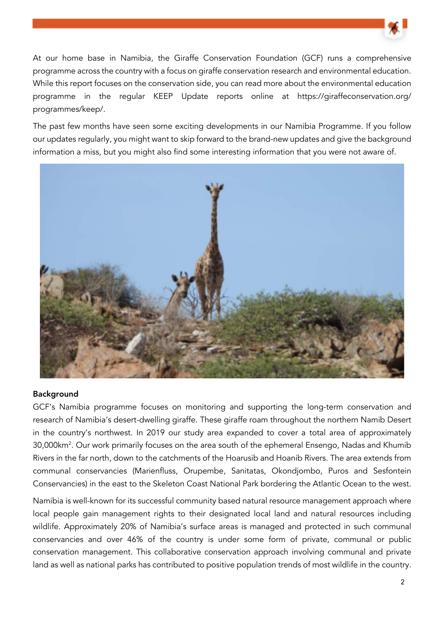

At our home base in Namibia, the Giraffe Conservation Foundation (GCF) runs a comprehensive programme across the country with a focus on giraffe conservation research and environmental education. While this report focuses on the conservation side, you can read more about the environmental education programme in the regular KEEP Update reports online at https://giraffeconservation.org/ programmes/keep/.

The past few months have seen some exciting developments in our Namibia Programme. If you follow our updates regularly, you might want to skip forward to the brand-new updates and give the background information a miss, but you might also find some interesting information that you were not aware of.



#### **Background**

GCF's Namibia programme focuses on monitoring and supporting the long-term conservation and research of Namibia's desert-dwelling giraffe. These giraffe roam throughout the northern Namib Desert in the country's northwest. In 2019 our study area expanded to cover a total area of approximately 30,000km<sup>2</sup> . Our work primarily focuses on the area south of the ephemeral Ensengo, Nadas and Khumib Rivers in the far north, down to the catchments of the Hoarusib and Hoanib Rivers. The area extends from communal conservancies (Marienfluss, Orupembe, Sanitatas, Okondjombo, Puros and Sesfontein Conservancies) in the east to the Skeleton Coast National Park bordering the Atlantic Ocean to the west.

Namibia is well-known for its successful community based natural resource management approach where local people gain management rights to their designated local land and natural resources including wildlife. Approximately 20% of Namibia's surface areas is managed and protected in such communal conservancies and over 46% of the country is under some form of private, communal or public conservation management. This collaborative conservation approach involving communal and private land as well as national parks has contributed to positive population trends of most wildlife in the country.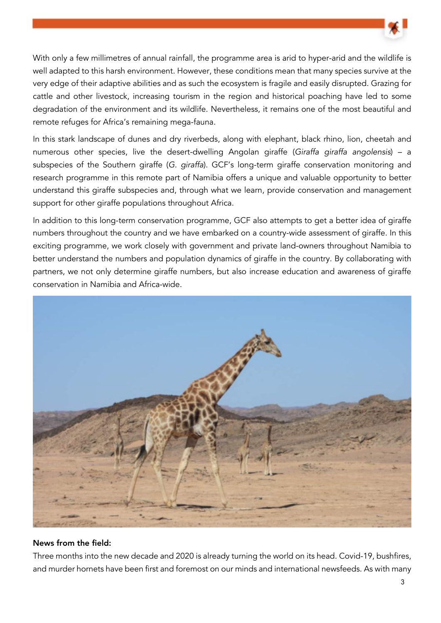

With only a few millimetres of annual rainfall, the programme area is arid to hyper-arid and the wildlife is well adapted to this harsh environment. However, these conditions mean that many species survive at the very edge of their adaptive abilities and as such the ecosystem is fragile and easily disrupted. Grazing for cattle and other livestock, increasing tourism in the region and historical poaching have led to some degradation of the environment and its wildlife. Nevertheless, it remains one of the most beautiful and remote refuges for Africa's remaining mega-fauna.

In this stark landscape of dunes and dry riverbeds, along with elephant, black rhino, lion, cheetah and numerous other species, live the desert-dwelling Angolan giraffe (Giraffa giraffa angolensis) – a subspecies of the Southern giraffe (G. giraffa). GCF's long-term giraffe conservation monitoring and research programme in this remote part of Namibia offers a unique and valuable opportunity to better understand this giraffe subspecies and, through what we learn, provide conservation and management support for other giraffe populations throughout Africa.

In addition to this long-term conservation programme, GCF also attempts to get a better idea of giraffe numbers throughout the country and we have embarked on a country-wide assessment of giraffe. In this exciting programme, we work closely with government and private land-owners throughout Namibia to better understand the numbers and population dynamics of giraffe in the country. By collaborating with partners, we not only determine giraffe numbers, but also increase education and awareness of giraffe conservation in Namibia and Africa-wide.



#### News from the field:

Three months into the new decade and 2020 is already turning the world on its head. Covid-19, bushfires, and murder hornets have been first and foremost on our minds and international newsfeeds. As with many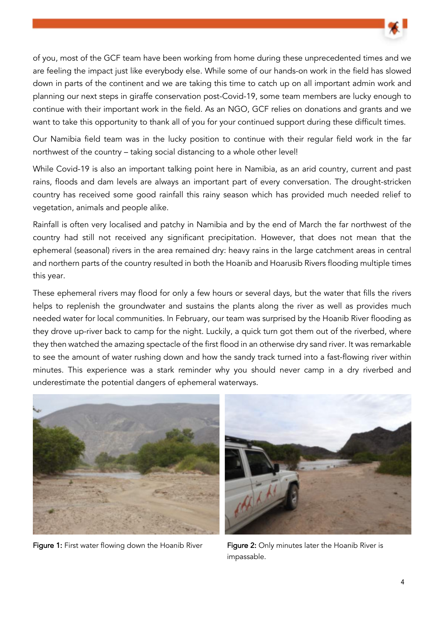

of you, most of the GCF team have been working from home during these unprecedented times and we are feeling the impact just like everybody else. While some of our hands-on work in the field has slowed down in parts of the continent and we are taking this time to catch up on all important admin work and planning our next steps in giraffe conservation post-Covid-19, some team members are lucky enough to continue with their important work in the field. As an NGO, GCF relies on donations and grants and we want to take this opportunity to thank all of you for your continued support during these difficult times.

Our Namibia field team was in the lucky position to continue with their regular field work in the far northwest of the country – taking social distancing to a whole other level!

While Covid-19 is also an important talking point here in Namibia, as an arid country, current and past rains, floods and dam levels are always an important part of every conversation. The drought-stricken country has received some good rainfall this rainy season which has provided much needed relief to vegetation, animals and people alike.

Rainfall is often very localised and patchy in Namibia and by the end of March the far northwest of the country had still not received any significant precipitation. However, that does not mean that the ephemeral (seasonal) rivers in the area remained dry: heavy rains in the large catchment areas in central and northern parts of the country resulted in both the Hoanib and Hoarusib Rivers flooding multiple times this year.

These ephemeral rivers may flood for only a few hours or several days, but the water that fills the rivers helps to replenish the groundwater and sustains the plants along the river as well as provides much needed water for local communities. In February, our team was surprised by the Hoanib River flooding as they drove up-river back to camp for the night. Luckily, a quick turn got them out of the riverbed, where they then watched the amazing spectacle of the first flood in an otherwise dry sand river. It was remarkable to see the amount of water rushing down and how the sandy track turned into a fast-flowing river within minutes. This experience was a stark reminder why you should never camp in a dry riverbed and underestimate the potential dangers of ephemeral waterways.



Figure 1: First water flowing down the Hoanib River Figure 2: Only minutes later the Hoanib River is



impassable.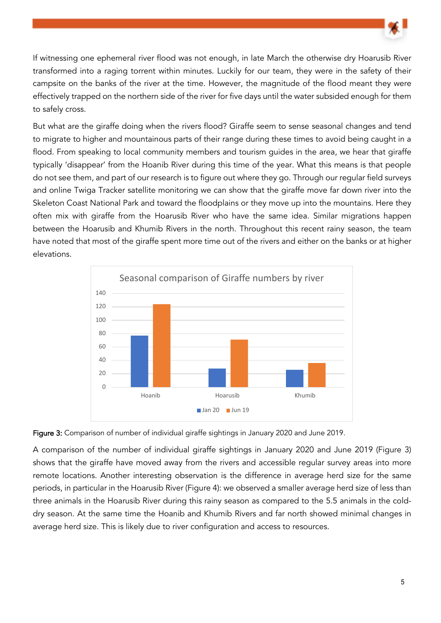

If witnessing one ephemeral river flood was not enough, in late March the otherwise dry Hoarusib River transformed into a raging torrent within minutes. Luckily for our team, they were in the safety of their campsite on the banks of the river at the time. However, the magnitude of the flood meant they were effectively trapped on the northern side of the river for five days until the water subsided enough for them to safely cross.

But what are the giraffe doing when the rivers flood? Giraffe seem to sense seasonal changes and tend to migrate to higher and mountainous parts of their range during these times to avoid being caught in a flood. From speaking to local community members and tourism quides in the area, we hear that giraffe typically 'disappear' from the Hoanib River during this time of the year. What this means is that people do not see them, and part of our research is to figure out where they go. Through our regular field surveys and online Twiga Tracker satellite monitoring we can show that the giraffe move far down river into the Skeleton Coast National Park and toward the floodplains or they move up into the mountains. Here they often mix with giraffe from the Hoarusib River who have the same idea. Similar migrations happen between the Hoarusib and Khumib Rivers in the north. Throughout this recent rainy season, the team have noted that most of the giraffe spent more time out of the rivers and either on the banks or at higher elevations.





A comparison of the number of individual giraffe sightings in January 2020 and June 2019 (Figure 3) shows that the giraffe have moved away from the rivers and accessible regular survey areas into more remote locations. Another interesting observation is the difference in average herd size for the same periods, in particular in the Hoarusib River (Figure 4): we observed a smaller average herd size of less than three animals in the Hoarusib River during this rainy season as compared to the 5.5 animals in the colddry season. At the same time the Hoanib and Khumib Rivers and far north showed minimal changes in average herd size. This is likely due to river configuration and access to resources.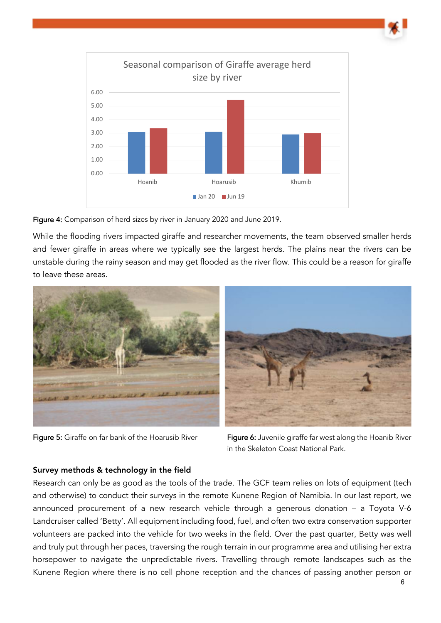

Figure 4: Comparison of herd sizes by river in January 2020 and June 2019.

While the flooding rivers impacted giraffe and researcher movements, the team observed smaller herds and fewer giraffe in areas where we typically see the largest herds. The plains near the rivers can be unstable during the rainy season and may get flooded as the river flow. This could be a reason for giraffe to leave these areas.



Figure 5: Giraffe on far bank of the Hoarusib River Figure 6: Juvenile giraffe far west along the Hoanib River in the Skeleton Coast National Park.

## Survey methods & technology in the field

Research can only be as good as the tools of the trade. The GCF team relies on lots of equipment (tech and otherwise) to conduct their surveys in the remote Kunene Region of Namibia. In our last report, we announced procurement of a new research vehicle through a generous donation – a Toyota V-6 Landcruiser called 'Betty'. All equipment including food, fuel, and often two extra conservation supporter volunteers are packed into the vehicle for two weeks in the field. Over the past quarter, Betty was well and truly put through her paces, traversing the rough terrain in our programme area and utilising her extra horsepower to navigate the unpredictable rivers. Travelling through remote landscapes such as the Kunene Region where there is no cell phone reception and the chances of passing another person or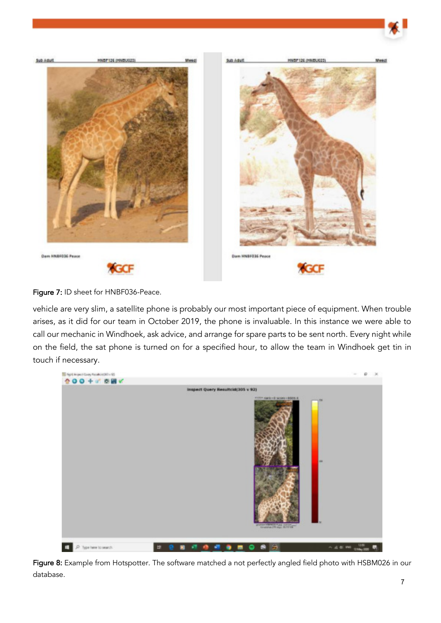

Figure 7: ID sheet for HNBF036-Peace.

vehicle are very slim, a satellite phone is probably our most important piece of equipment. When trouble arises, as it did for our team in October 2019, the phone is invaluable. In this instance we were able to call our mechanic in Windhoek, ask advice, and arrange for spare parts to be sent north. Every night while on the field, the sat phone is turned on for a specified hour, to allow the team in Windhoek get tin in touch if necessary.



Figure 8: Example from Hotspotter. The software matched a not perfectly angled field photo with HSBM026 in our database.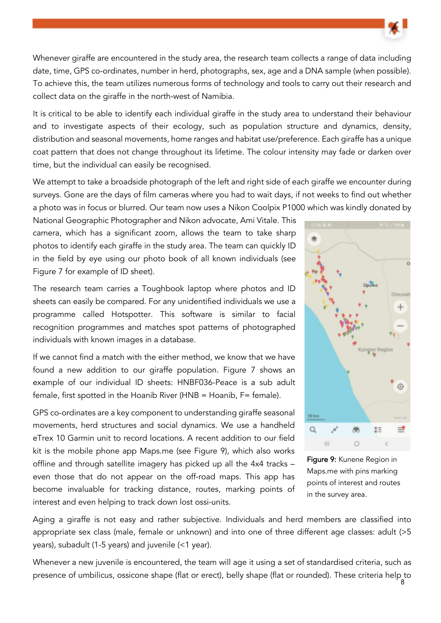Whenever giraffe are encountered in the study area, the research team collects a range of data including date, time, GPS co-ordinates, number in herd, photographs, sex, age and a DNA sample (when possible). To achieve this, the team utilizes numerous forms of technology and tools to carry out their research and collect data on the giraffe in the north-west of Namibia.

It is critical to be able to identify each individual giraffe in the study area to understand their behaviour and to investigate aspects of their ecology, such as population structure and dynamics, density, distribution and seasonal movements, home ranges and habitat use/preference. Each giraffe has a unique coat pattern that does not change throughout its lifetime. The colour intensity may fade or darken over time, but the individual can easily be recognised.

We attempt to take a broadside photograph of the left and right side of each giraffe we encounter during surveys. Gone are the days of film cameras where you had to wait days, if not weeks to find out whether a photo was in focus or blurred. Our team now uses a Nikon Coolpix P1000 which was kindly donated by

National Geographic Photographer and Nikon advocate, Ami Vitale. This camera, which has a significant zoom, allows the team to take sharp photos to identify each giraffe in the study area. The team can quickly ID in the field by eye using our photo book of all known individuals (see Figure 7 for example of ID sheet).

The research team carries a Toughbook laptop where photos and ID sheets can easily be compared. For any unidentified individuals we use a programme called Hotspotter. This software is similar to facial recognition programmes and matches spot patterns of photographed individuals with known images in a database.

If we cannot find a match with the either method, we know that we have found a new addition to our giraffe population. Figure 7 shows an example of our individual ID sheets: HNBF036-Peace is a sub adult female, first spotted in the Hoanib River (HNB = Hoanib, F= female).

GPS co-ordinates are a key component to understanding giraffe seasonal movements, herd structures and social dynamics. We use a handheld eTrex 10 Garmin unit to record locations. A recent addition to our field kit is the mobile phone app Maps.me (see Figure 9), which also works offline and through satellite imagery has picked up all the 4x4 tracks – even those that do not appear on the off-road maps. This app has become invaluable for tracking distance, routes, marking points of interest and even helping to track down lost ossi-units.



Figure 9: Kunene Region in Maps.me with pins marking points of interest and routes in the survey area.

Aging a giraffe is not easy and rather subjective. Individuals and herd members are classified into appropriate sex class (male, female or unknown) and into one of three different age classes: adult (>5 years), subadult (1-5 years) and juvenile (<1 year).

8 presence of umbilicus, ossicone shape (flat or erect), belly shape (flat or rounded). These criteria help to Whenever a new juvenile is encountered, the team will age it using a set of standardised criteria, such as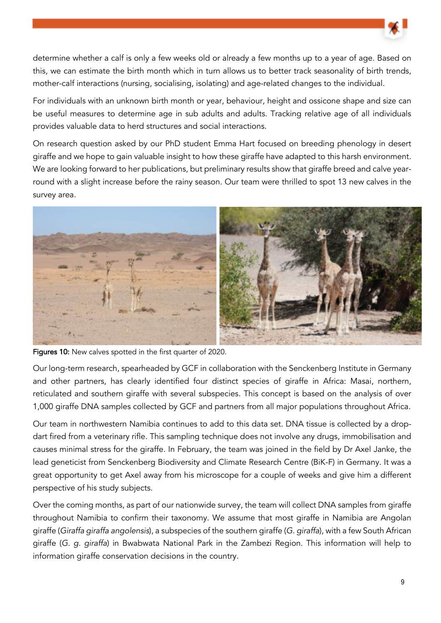determine whether a calf is only a few weeks old or already a few months up to a year of age. Based on this, we can estimate the birth month which in turn allows us to better track seasonality of birth trends, mother-calf interactions (nursing, socialising, isolating) and age-related changes to the individual.

For individuals with an unknown birth month or year, behaviour, height and ossicone shape and size can be useful measures to determine age in sub adults and adults. Tracking relative age of all individuals provides valuable data to herd structures and social interactions.

On research question asked by our PhD student Emma Hart focused on breeding phenology in desert giraffe and we hope to gain valuable insight to how these giraffe have adapted to this harsh environment. We are looking forward to her publications, but preliminary results show that giraffe breed and calve yearround with a slight increase before the rainy season. Our team were thrilled to spot 13 new calves in the survey area.



Figures 10: New calves spotted in the first quarter of 2020.

Our long-term research, spearheaded by GCF in collaboration with the Senckenberg Institute in Germany and other partners, has clearly identified four distinct species of giraffe in Africa: Masai, northern, reticulated and southern giraffe with several subspecies. This concept is based on the analysis of over 1,000 giraffe DNA samples collected by GCF and partners from all major populations throughout Africa.

Our team in northwestern Namibia continues to add to this data set. DNA tissue is collected by a dropdart fired from a veterinary rifle. This sampling technique does not involve any drugs, immobilisation and causes minimal stress for the giraffe. In February, the team was joined in the field by Dr Axel Janke, the lead geneticist from Senckenberg Biodiversity and Climate Research Centre (BiK-F) in Germany. It was a great opportunity to get Axel away from his microscope for a couple of weeks and give him a different perspective of his study subjects.

Over the coming months, as part of our nationwide survey, the team will collect DNA samples from giraffe throughout Namibia to confirm their taxonomy. We assume that most giraffe in Namibia are Angolan giraffe (Giraffa giraffa angolensis), a subspecies of the southern giraffe (G. giraffa), with a few South African giraffe (G. g. giraffa) in Bwabwata National Park in the Zambezi Region. This information will help to information giraffe conservation decisions in the country.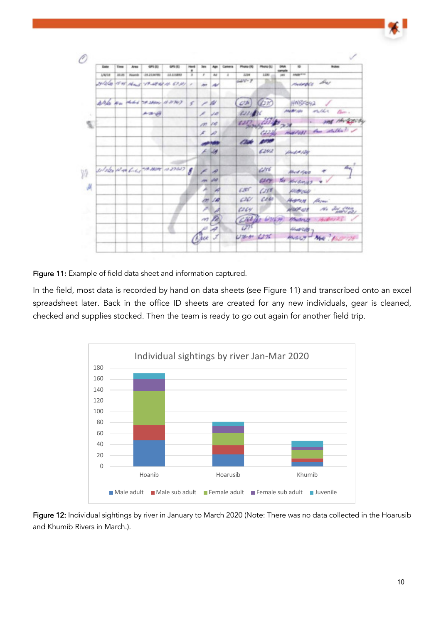|        | Date   | Time  | Arms          | 489.00         | 6P5 (E)                         | Herd<br>٠     | <b>Text</b>               |                          | Carinera | <b>Phone (R)</b>   | Photo-SJ    | <b>DRA</b><br>sample | ÷               | <b>Notes</b>                |
|--------|--------|-------|---------------|----------------|---------------------------------|---------------|---------------------------|--------------------------|----------|--------------------|-------------|----------------------|-----------------|-----------------------------|
|        | 1/6/18 | 30.06 | <b>Roards</b> | 08.23.86781    | 28.121MHH                       | x             | ×                         | m                        | z        | <b>3.23M</b>       | 1293        | <b>URI</b>           | <b>HABUTTE</b>  |                             |
|        |        |       |               |                | HIGGS I'M HOW THAT A CON .      |               | Jet                       | æ                        |          | $416 - 9$          |             |                      |                 | marges bus                  |
|        |        |       |               |                | Also was didn't seawy did not   | š.            | ╱                         | w                        |          | CDR                | G2R         |                      | HNISFOYA        |                             |
| ٠      |        |       |               | <b>A-SI-VA</b> |                                 |               | ×                         | ففاتنا                   |          | 62776              |             |                      | <b>ANAMPLON</b> | 41/64<br>Barr a             |
| ç,     |        |       |               |                |                                 |               | m vo                      |                          |          | 6287               | لأتناء      | 学习                   |                 | my Huggesy                  |
|        |        |       |               |                |                                 |               | x                         |                          |          |                    | Color of    |                      |                 | marchel and stable !        |
|        |        |       |               |                |                                 |               |                           |                          |          | æ                  |             |                      |                 |                             |
|        |        |       |               |                |                                 |               |                           | $\overline{\mathcal{M}}$ |          |                    | 6242        |                      | Dest # 124      |                             |
|        |        |       |               |                | silates plan bides many is now. | $\mathcal{J}$ |                           | $\sigma$                 |          |                    | 656         |                      | Alva Ree        | den.                        |
| Щ<br>u |        |       |               |                |                                 |               | m                         | w                        |          |                    | 6259        |                      | You plus compt  |                             |
|        |        |       |               |                |                                 |               |                           | ×                        |          | 6200               | (258)       |                      | money           |                             |
|        |        |       |               |                |                                 |               | m                         | 14                       |          | 626/               | 6060        |                      | Hydrical        | Haynn                       |
|        |        |       |               | w              |                                 |               |                           |                          |          | 6264               |             |                      | <b>WASP OR</b>  | No definition               |
|        |        |       |               |                |                                 |               | $\overline{a}$            |                          |          | Cbb                | 2.647(2,79) |                      | <b>Brude Cy</b> | 1. Hudmit 23                |
|        | 166.60 |       |               |                |                                 |               |                           |                          |          | (27)               |             |                      | <b>Sharting</b> |                             |
|        |        |       |               |                |                                 |               | ( <i>h<sub>i</sub>kot</i> |                          |          | $U^{y_1,y_2}$ 6276 |             |                      |                 | <b>MANY - NHA ! AND THE</b> |

Figure 11: Example of field data sheet and information captured.

In the field, most data is recorded by hand on data sheets (see Figure 11) and transcribed onto an excel spreadsheet later. Back in the office ID sheets are created for any new individuals, gear is cleaned, checked and supplies stocked. Then the team is ready to go out again for another field trip.



Figure 12: Individual sightings by river in January to March 2020 (Note: There was no data collected in the Hoarusib and Khumib Rivers in March.).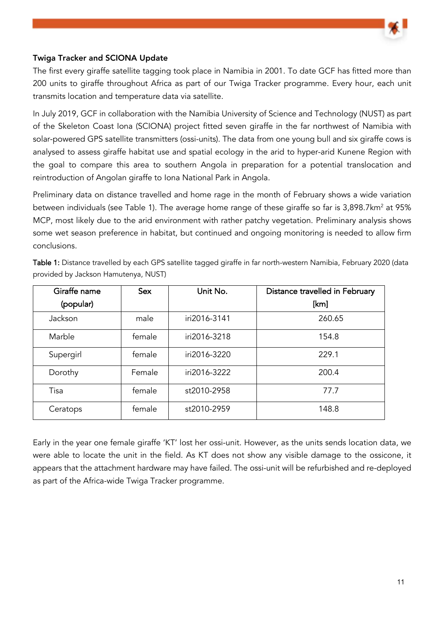

### Twiga Tracker and SCIONA Update

The first every giraffe satellite tagging took place in Namibia in 2001. To date GCF has fitted more than 200 units to giraffe throughout Africa as part of our Twiga Tracker programme. Every hour, each unit transmits location and temperature data via satellite.

In July 2019, GCF in collaboration with the Namibia University of Science and Technology (NUST) as part of the Skeleton Coast Iona (SCIONA) project fitted seven giraffe in the far northwest of Namibia with solar-powered GPS satellite transmitters (ossi-units). The data from one young bull and six giraffe cows is analysed to assess giraffe habitat use and spatial ecology in the arid to hyper-arid Kunene Region with the goal to compare this area to southern Angola in preparation for a potential translocation and reintroduction of Angolan giraffe to Iona National Park in Angola.

Preliminary data on distance travelled and home rage in the month of February shows a wide variation between individuals (see Table 1). The average home range of these giraffe so far is 3,898.7km<sup>2</sup> at 95% MCP, most likely due to the arid environment with rather patchy vegetation. Preliminary analysis shows some wet season preference in habitat, but continued and ongoing monitoring is needed to allow firm conclusions.

| Giraffe name | <b>Sex</b> | Unit No.     | Distance travelled in February |
|--------------|------------|--------------|--------------------------------|
| (popular)    |            |              | [km]                           |
| Jackson      | male       | iri2016-3141 | 260.65                         |
| Marble       | female     | iri2016-3218 | 154.8                          |
| Supergirl    | female     | iri2016-3220 | 229.1                          |
| Dorothy      | Female     | iri2016-3222 | 200.4                          |
| Tisa         | female     | st2010-2958  | 77.7                           |
| Ceratops     | female     | st2010-2959  | 148.8                          |

Table 1: Distance travelled by each GPS satellite tagged giraffe in far north-western Namibia, February 2020 (data provided by Jackson Hamutenya, NUST)

Early in the year one female giraffe 'KT' lost her ossi-unit. However, as the units sends location data, we were able to locate the unit in the field. As KT does not show any visible damage to the ossicone, it appears that the attachment hardware may have failed. The ossi-unit will be refurbished and re-deployed as part of the Africa-wide Twiga Tracker programme.